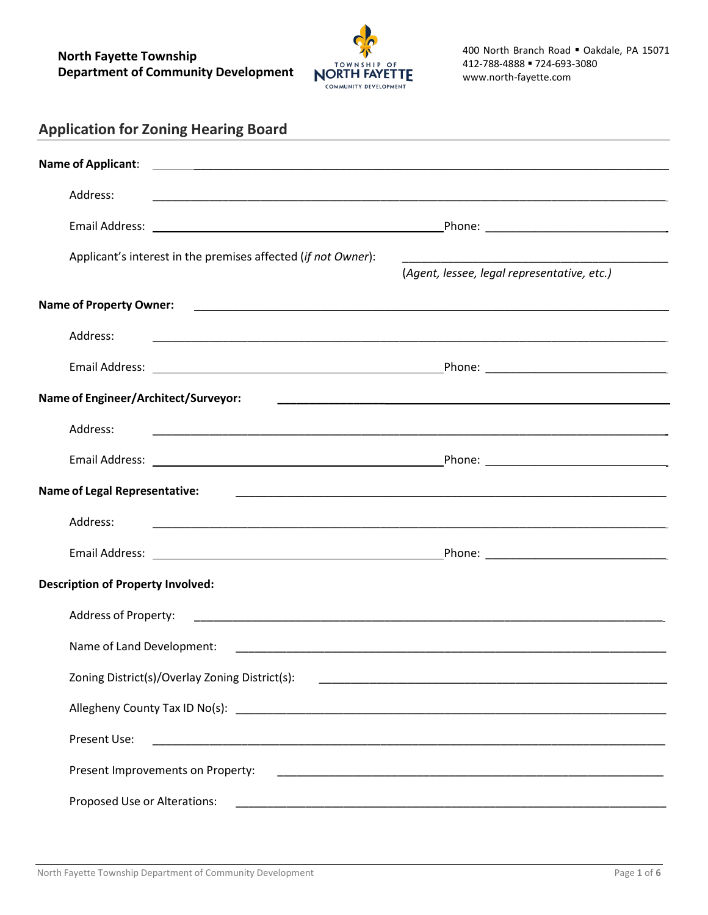

| Address:                                                      |                                                             |
|---------------------------------------------------------------|-------------------------------------------------------------|
|                                                               |                                                             |
| Applicant's interest in the premises affected (if not Owner): | (Agent, lessee, legal representative, etc.)                 |
| <b>Name of Property Owner:</b>                                | <u> 1980 - Jan Barbara, martxa al II-lea (h. 1980).</u>     |
| Address:                                                      |                                                             |
|                                                               |                                                             |
| Name of Engineer/Architect/Surveyor:                          |                                                             |
| Address:                                                      |                                                             |
|                                                               |                                                             |
| <b>Name of Legal Representative:</b>                          | <u> 1989 - Johann Stoff, amerikansk politiker (d. 1989)</u> |
| Address:                                                      |                                                             |
|                                                               |                                                             |
| <b>Description of Property Involved:</b>                      |                                                             |
| Address of Property:                                          |                                                             |
| Name of Land Development:                                     |                                                             |
| Zoning District(s)/Overlay Zoning District(s):                |                                                             |
|                                                               |                                                             |
| Present Use:                                                  |                                                             |
| Present Improvements on Property:                             |                                                             |
| Proposed Use or Alterations:                                  |                                                             |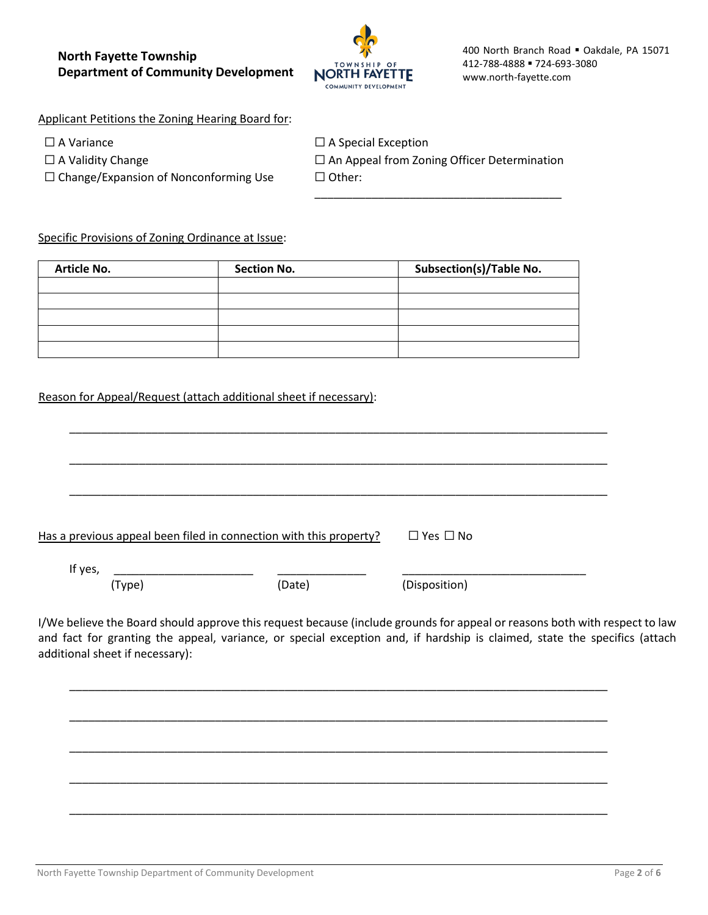

Applicant Petitions the Zoning Hearing Board for:

☐ Change/Expansion of Nonconforming Use ☐ Other:

☐ A Variance ☐ A Special Exception ☐ A Validity Change ☐ An Appeal from Zoning Officer Determination

\_\_\_\_\_\_\_\_\_\_\_\_\_\_\_\_\_\_\_\_\_\_\_\_\_\_\_\_\_\_\_\_\_\_\_\_\_\_\_

Specific Provisions of Zoning Ordinance at Issue:

| <b>Article No.</b> | <b>Section No.</b> | <b>Subsection(s)/Table No.</b> |
|--------------------|--------------------|--------------------------------|
|                    |                    |                                |
|                    |                    |                                |
|                    |                    |                                |
|                    |                    |                                |
|                    |                    |                                |

## Reason for Appeal/Request (attach additional sheet if necessary):

|         | Has a previous appeal been filed in connection with this property? | $\Box$ Yes $\Box$ No |  |
|---------|--------------------------------------------------------------------|----------------------|--|
| If yes, |                                                                    |                      |  |

\_\_\_\_\_\_\_\_\_\_\_\_\_\_\_\_\_\_\_\_\_\_\_\_\_\_\_\_\_\_\_\_\_\_\_\_\_\_\_\_\_\_\_\_\_\_\_\_\_\_\_\_\_\_\_\_\_\_\_\_\_\_\_\_\_\_\_\_\_\_\_\_\_\_\_\_\_\_\_\_\_\_\_\_\_

\_\_\_\_\_\_\_\_\_\_\_\_\_\_\_\_\_\_\_\_\_\_\_\_\_\_\_\_\_\_\_\_\_\_\_\_\_\_\_\_\_\_\_\_\_\_\_\_\_\_\_\_\_\_\_\_\_\_\_\_\_\_\_\_\_\_\_\_\_\_\_\_\_\_\_\_\_\_\_\_\_\_\_\_\_

\_\_\_\_\_\_\_\_\_\_\_\_\_\_\_\_\_\_\_\_\_\_\_\_\_\_\_\_\_\_\_\_\_\_\_\_\_\_\_\_\_\_\_\_\_\_\_\_\_\_\_\_\_\_\_\_\_\_\_\_\_\_\_\_\_\_\_\_\_\_\_\_\_\_\_\_\_\_\_\_\_\_\_\_\_

\_\_\_\_\_\_\_\_\_\_\_\_\_\_\_\_\_\_\_\_\_\_\_\_\_\_\_\_\_\_\_\_\_\_\_\_\_\_\_\_\_\_\_\_\_\_\_\_\_\_\_\_\_\_\_\_\_\_\_\_\_\_\_\_\_\_\_\_\_\_\_\_\_\_\_\_\_\_\_\_\_\_\_\_\_

\_\_\_\_\_\_\_\_\_\_\_\_\_\_\_\_\_\_\_\_\_\_\_\_\_\_\_\_\_\_\_\_\_\_\_\_\_\_\_\_\_\_\_\_\_\_\_\_\_\_\_\_\_\_\_\_\_\_\_\_\_\_\_\_\_\_\_\_\_\_\_\_\_\_\_\_\_\_\_\_\_\_\_\_\_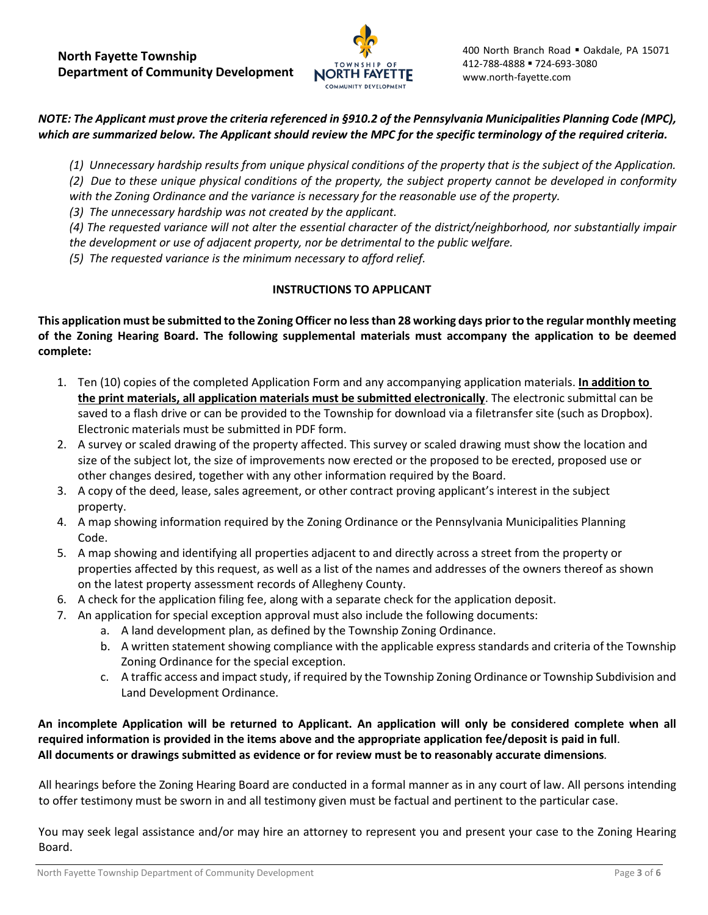

# *NOTE: The Applicant must prove the criteria referenced in §910.2 of the Pennsylvania Municipalities Planning Code (MPC), which are summarized below. The Applicant should review the MPC for the specific terminology of the required criteria.*

*(1) Unnecessary hardship results from unique physical conditions of the property that is the subject of the Application. (2) Due to these unique physical conditions of the property, the subject property cannot be developed in conformity with the Zoning Ordinance and the variance is necessary for the reasonable use of the property.* 

*(3) The unnecessary hardship was not created by the applicant.* 

*(4) The requested variance will not alter the essential character of the district/neighborhood, nor substantially impair the development or use of adjacent property, nor be detrimental to the public welfare.* 

*(5) The requested variance is the minimum necessary to afford relief.* 

## **INSTRUCTIONS TO APPLICANT**

**This application must be submitted to the Zoning Officer no less than 28 working days prior to the regular monthly meeting of the Zoning Hearing Board. The following supplemental materials must accompany the application to be deemed complete:**

- 1. Ten (10) copies of the completed Application Form and any accompanying application materials. **In addition to the print materials, all application materials must be submitted electronically**. The electronic submittal can be saved to a flash drive or can be provided to the Township for download via a filetransfer site (such as Dropbox). Electronic materials must be submitted in PDF form.
- 2. A survey or scaled drawing of the property affected. This survey or scaled drawing must show the location and size of the subject lot, the size of improvements now erected or the proposed to be erected, proposed use or other changes desired, together with any other information required by the Board.
- 3. A copy of the deed, lease, sales agreement, or other contract proving applicant's interest in the subject property.
- 4. A map showing information required by the Zoning Ordinance or the Pennsylvania Municipalities Planning Code.
- 5. A map showing and identifying all properties adjacent to and directly across a street from the property or properties affected by this request, as well as a list of the names and addresses of the owners thereof as shown on the latest property assessment records of Allegheny County.
- 6. A check for the application filing fee, along with a separate check for the application deposit.
- 7. An application for special exception approval must also include the following documents:
	- a. A land development plan, as defined by the Township Zoning Ordinance.
	- b. A written statement showing compliance with the applicable express standards and criteria of the Township Zoning Ordinance for the special exception.
	- c. A traffic access and impact study, if required by the Township Zoning Ordinance or Township Subdivision and Land Development Ordinance.

**An incomplete Application will be returned to Applicant. An application will only be considered complete when all required information is provided in the items above and the appropriate application fee/deposit is paid in full**. **All documents or drawings submitted as evidence or for review must be to reasonably accurate dimensions***.* 

All hearings before the Zoning Hearing Board are conducted in a formal manner as in any court of law. All persons intending to offer testimony must be sworn in and all testimony given must be factual and pertinent to the particular case.

You may seek legal assistance and/or may hire an attorney to represent you and present your case to the Zoning Hearing Board.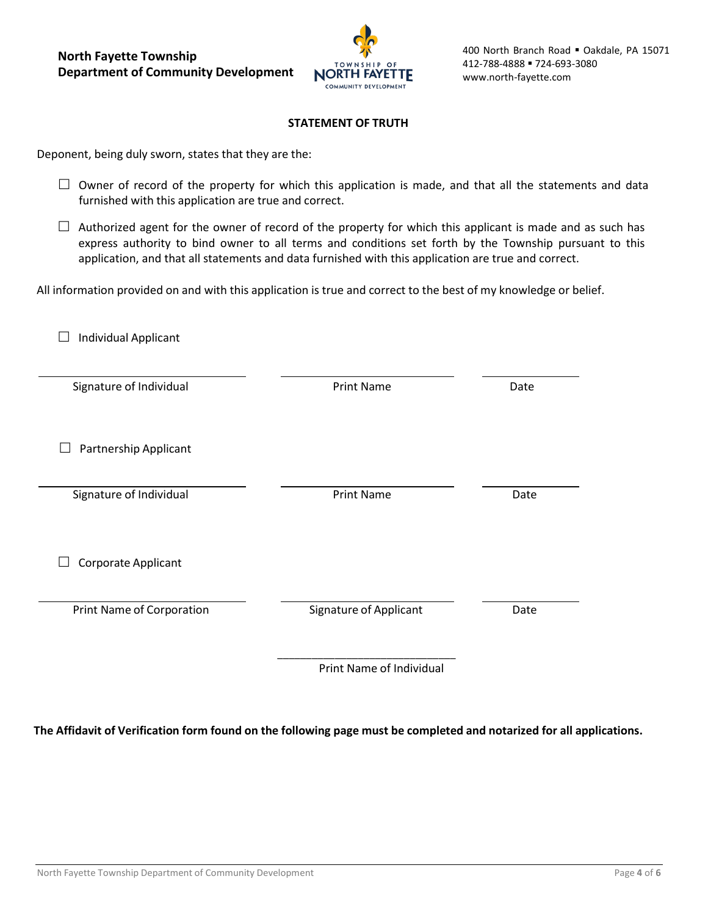**North Fayette Township Department of Community Development**



### **STATEMENT OF TRUTH**

Deponent, being duly sworn, states that they are the:

- $\Box$  Owner of record of the property for which this application is made, and that all the statements and data furnished with this application are true and correct.
- $\Box$  Authorized agent for the owner of record of the property for which this applicant is made and as such has express authority to bind owner to all terms and conditions set forth by the Township pursuant to this application, and that all statements and data furnished with this application are true and correct.

All information provided on and with this application is true and correct to the best of my knowledge or belief.

| Individual Applicant      |                               |      |
|---------------------------|-------------------------------|------|
| Signature of Individual   | <b>Print Name</b>             | Date |
| Partnership Applicant     |                               |      |
| Signature of Individual   | <b>Print Name</b>             | Date |
| Corporate Applicant       |                               |      |
| Print Name of Corporation | <b>Signature of Applicant</b> | Date |
|                           | Print Name of Individual      |      |

The Affidavit of Verification form found on the following page must be completed and notarized for all applications.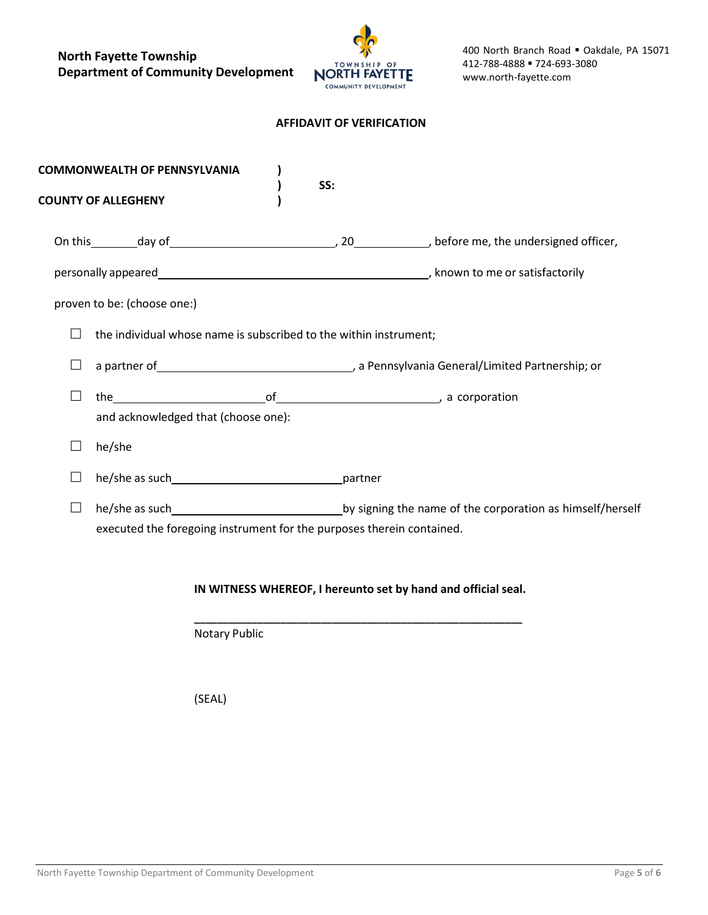**North Fayette Township Department of Community Development**



#### **AFFIDAVIT OF VERIFICATION**

| <b>COMMONWEALTH OF PENNSYLVANIA</b>                                   |     |                                                               |
|-----------------------------------------------------------------------|-----|---------------------------------------------------------------|
| <b>COUNTY OF ALLEGHENY</b>                                            | SS: |                                                               |
|                                                                       |     |                                                               |
|                                                                       |     |                                                               |
| proven to be: (choose one:)                                           |     |                                                               |
| the individual whose name is subscribed to the within instrument;     |     |                                                               |
|                                                                       |     |                                                               |
|                                                                       |     |                                                               |
| and acknowledged that (choose one):                                   |     |                                                               |
| he/she                                                                |     |                                                               |
| he/she as such partner                                                |     |                                                               |
|                                                                       |     |                                                               |
| executed the foregoing instrument for the purposes therein contained. |     |                                                               |
|                                                                       |     |                                                               |
|                                                                       |     | IN WITNESS WHEREOF, I hereunto set by hand and official seal. |

Notary Public

 **\_\_\_\_\_\_\_\_\_\_\_\_\_\_\_\_\_\_\_\_\_\_\_\_\_\_\_\_\_\_\_\_\_\_\_\_\_\_\_\_\_\_\_\_\_\_\_\_\_\_\_\_\_\_\_\_\_**

(SEAL)